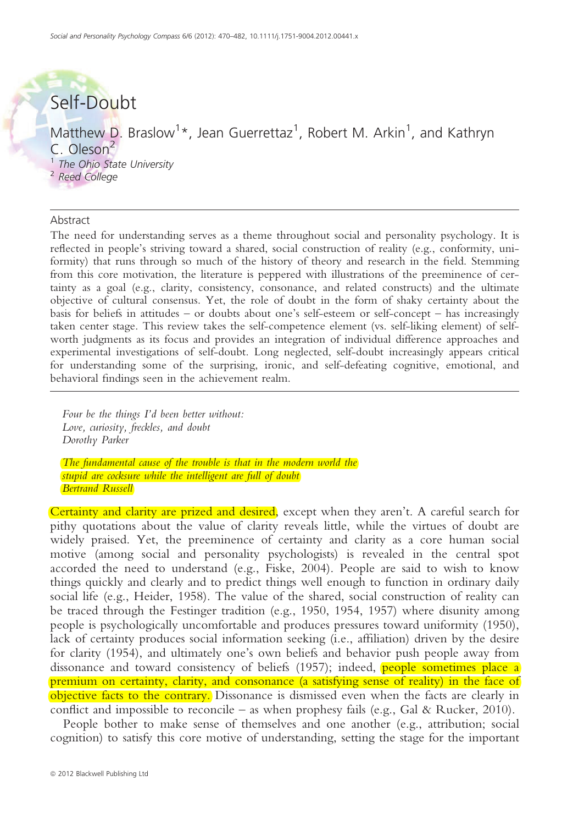

# Matthew D. Braslow<sup>1</sup>\*, Jean Guerrettaz<sup>1</sup>, Robert M. Arkin<sup>1</sup>, and Kathryn C. Oleson<sup>2</sup> <sup>1</sup> The Ohio State University <sup>2</sup> Reed College

#### Abstract

The need for understanding serves as a theme throughout social and personality psychology. It is reflected in people's striving toward a shared, social construction of reality (e.g., conformity, uniformity) that runs through so much of the history of theory and research in the field. Stemming from this core motivation, the literature is peppered with illustrations of the preeminence of certainty as a goal (e.g., clarity, consistency, consonance, and related constructs) and the ultimate objective of cultural consensus. Yet, the role of doubt in the form of shaky certainty about the basis for beliefs in attitudes – or doubts about one's self-esteem or self-concept – has increasingly taken center stage. This review takes the self-competence element (vs. self-liking element) of selfworth judgments as its focus and provides an integration of individual difference approaches and experimental investigations of self-doubt. Long neglected, self-doubt increasingly appears critical for understanding some of the surprising, ironic, and self-defeating cognitive, emotional, and behavioral findings seen in the achievement realm.

Four be the things I'd been better without: Love, curiosity, freckles, and doubt Dorothy Parker

The fundamental cause of the trouble is that in the modern world the stupid are cocksure while the intelligent are full of doubt Bertrand Russell

Certainty and clarity are prized and desired, except when they aren't. A careful search for pithy quotations about the value of clarity reveals little, while the virtues of doubt are widely praised. Yet, the preeminence of certainty and clarity as a core human social motive (among social and personality psychologists) is revealed in the central spot accorded the need to understand (e.g., Fiske, 2004). People are said to wish to know things quickly and clearly and to predict things well enough to function in ordinary daily social life (e.g., Heider, 1958). The value of the shared, social construction of reality can be traced through the Festinger tradition (e.g., 1950, 1954, 1957) where disunity among people is psychologically uncomfortable and produces pressures toward uniformity (1950), lack of certainty produces social information seeking (i.e., affiliation) driven by the desire for clarity (1954), and ultimately one's own beliefs and behavior push people away from dissonance and toward consistency of beliefs (1957); indeed, people sometimes place a premium on certainty, clarity, and consonance (a satisfying sense of reality) in the face of objective facts to the contrary. Dissonance is dismissed even when the facts are clearly in conflict and impossible to reconcile – as when prophesy fails (e.g., Gal & Rucker, 2010).

People bother to make sense of themselves and one another (e.g., attribution; social cognition) to satisfy this core motive of understanding, setting the stage for the important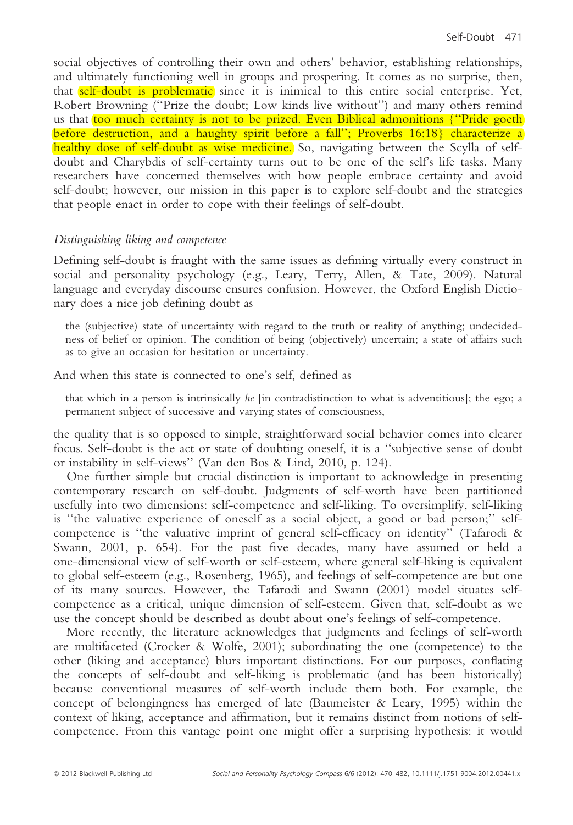social objectives of controlling their own and others' behavior, establishing relationships, and ultimately functioning well in groups and prospering. It comes as no surprise, then, that self-doubt is problematic since it is inimical to this entire social enterprise. Yet, Robert Browning (''Prize the doubt; Low kinds live without'') and many others remind us that too much certainty is not to be prized. Even Biblical admonitions {''Pride goeth before destruction, and a haughty spirit before a fall''; Proverbs 16:18} characterize a healthy dose of self-doubt as wise medicine. So, navigating between the Scylla of selfdoubt and Charybdis of self-certainty turns out to be one of the self's life tasks. Many researchers have concerned themselves with how people embrace certainty and avoid self-doubt; however, our mission in this paper is to explore self-doubt and the strategies that people enact in order to cope with their feelings of self-doubt.

#### Distinguishing liking and competence

Defining self-doubt is fraught with the same issues as defining virtually every construct in social and personality psychology (e.g., Leary, Terry, Allen, & Tate, 2009). Natural language and everyday discourse ensures confusion. However, the Oxford English Dictionary does a nice job defining doubt as

the (subjective) state of uncertainty with regard to the truth or reality of anything; undecidedness of belief or opinion. The condition of being (objectively) uncertain; a state of affairs such as to give an occasion for hesitation or uncertainty.

And when this state is connected to one's self, defined as

that which in a person is intrinsically he [in contradistinction to what is adventitious]; the ego; a permanent subject of successive and varying states of consciousness,

the quality that is so opposed to simple, straightforward social behavior comes into clearer focus. Self-doubt is the act or state of doubting oneself, it is a ''subjective sense of doubt or instability in self-views'' (Van den Bos & Lind, 2010, p. 124).

One further simple but crucial distinction is important to acknowledge in presenting contemporary research on self-doubt. Judgments of self-worth have been partitioned usefully into two dimensions: self-competence and self-liking. To oversimplify, self-liking is ''the valuative experience of oneself as a social object, a good or bad person;'' selfcompetence is ''the valuative imprint of general self-efficacy on identity'' (Tafarodi & Swann, 2001, p. 654). For the past five decades, many have assumed or held a one-dimensional view of self-worth or self-esteem, where general self-liking is equivalent to global self-esteem (e.g., Rosenberg, 1965), and feelings of self-competence are but one of its many sources. However, the Tafarodi and Swann (2001) model situates selfcompetence as a critical, unique dimension of self-esteem. Given that, self-doubt as we use the concept should be described as doubt about one's feelings of self-competence.

More recently, the literature acknowledges that judgments and feelings of self-worth are multifaceted (Crocker & Wolfe, 2001); subordinating the one (competence) to the other (liking and acceptance) blurs important distinctions. For our purposes, conflating the concepts of self-doubt and self-liking is problematic (and has been historically) because conventional measures of self-worth include them both. For example, the concept of belongingness has emerged of late (Baumeister & Leary, 1995) within the context of liking, acceptance and affirmation, but it remains distinct from notions of selfcompetence. From this vantage point one might offer a surprising hypothesis: it would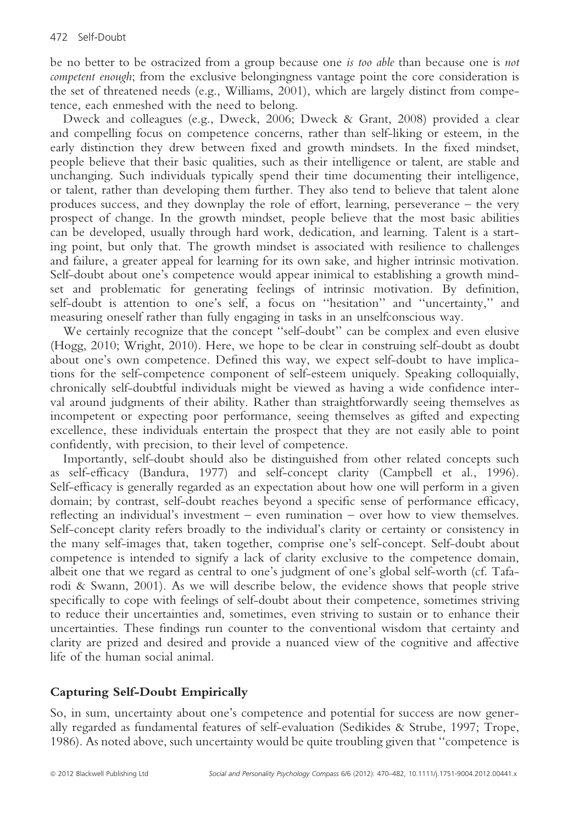be no better to be ostracized from a group because one is too able than because one is not competent enough; from the exclusive belongingness vantage point the core consideration is the set of threatened needs (e.g., Williams, 2001), which are largely distinct from competence, each enmeshed with the need to belong.

Dweck and colleagues (e.g., Dweck, 2006; Dweck & Grant, 2008) provided a clear and compelling focus on competence concerns, rather than self-liking or esteem, in the early distinction they drew between fixed and growth mindsets. In the fixed mindset, people believe that their basic qualities, such as their intelligence or talent, are stable and unchanging. Such individuals typically spend their time documenting their intelligence, or talent, rather than developing them further. They also tend to believe that talent alone produces success, and they downplay the role of effort, learning, perseverance – the very prospect of change. In the growth mindset, people believe that the most basic abilities can be developed, usually through hard work, dedication, and learning. Talent is a starting point, but only that. The growth mindset is associated with resilience to challenges and failure, a greater appeal for learning for its own sake, and higher intrinsic motivation. Self-doubt about one's competence would appear inimical to establishing a growth mindset and problematic for generating feelings of intrinsic motivation. By definition, self-doubt is attention to one's self, a focus on ''hesitation'' and ''uncertainty,'' and measuring oneself rather than fully engaging in tasks in an unselfconscious way.

We certainly recognize that the concept "self-doubt" can be complex and even elusive (Hogg, 2010; Wright, 2010). Here, we hope to be clear in construing self-doubt as doubt about one's own competence. Defined this way, we expect self-doubt to have implications for the self-competence component of self-esteem uniquely. Speaking colloquially, chronically self-doubtful individuals might be viewed as having a wide confidence interval around judgments of their ability. Rather than straightforwardly seeing themselves as incompetent or expecting poor performance, seeing themselves as gifted and expecting excellence, these individuals entertain the prospect that they are not easily able to point confidently, with precision, to their level of competence.

Importantly, self-doubt should also be distinguished from other related concepts such as self-efficacy (Bandura, 1977) and self-concept clarity (Campbell et al., 1996). Self-efficacy is generally regarded as an expectation about how one will perform in a given domain; by contrast, self-doubt reaches beyond a specific sense of performance efficacy, reflecting an individual's investment – even rumination – over how to view themselves. Self-concept clarity refers broadly to the individual's clarity or certainty or consistency in the many self-images that, taken together, comprise one's self-concept. Self-doubt about competence is intended to signify a lack of clarity exclusive to the competence domain, albeit one that we regard as central to one's judgment of one's global self-worth (cf. Tafarodi & Swann, 2001). As we will describe below, the evidence shows that people strive specifically to cope with feelings of self-doubt about their competence, sometimes striving to reduce their uncertainties and, sometimes, even striving to sustain or to enhance their uncertainties. These findings run counter to the conventional wisdom that certainty and clarity are prized and desired and provide a nuanced view of the cognitive and affective life of the human social animal.

## Capturing Self-Doubt Empirically

So, in sum, uncertainty about one's competence and potential for success are now generally regarded as fundamental features of self-evaluation (Sedikides & Strube, 1997; Trope, 1986). As noted above, such uncertainty would be quite troubling given that ''competence is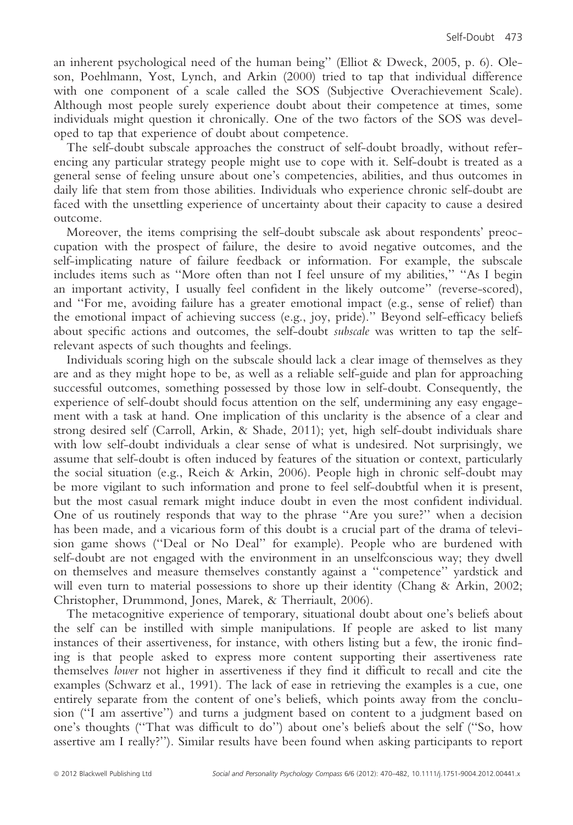an inherent psychological need of the human being'' (Elliot & Dweck, 2005, p. 6). Oleson, Poehlmann, Yost, Lynch, and Arkin (2000) tried to tap that individual difference with one component of a scale called the SOS (Subjective Overachievement Scale). Although most people surely experience doubt about their competence at times, some individuals might question it chronically. One of the two factors of the SOS was developed to tap that experience of doubt about competence.

The self-doubt subscale approaches the construct of self-doubt broadly, without referencing any particular strategy people might use to cope with it. Self-doubt is treated as a general sense of feeling unsure about one's competencies, abilities, and thus outcomes in daily life that stem from those abilities. Individuals who experience chronic self-doubt are faced with the unsettling experience of uncertainty about their capacity to cause a desired outcome.

Moreover, the items comprising the self-doubt subscale ask about respondents' preoccupation with the prospect of failure, the desire to avoid negative outcomes, and the self-implicating nature of failure feedback or information. For example, the subscale includes items such as ''More often than not I feel unsure of my abilities,'' ''As I begin an important activity, I usually feel confident in the likely outcome'' (reverse-scored), and ''For me, avoiding failure has a greater emotional impact (e.g., sense of relief) than the emotional impact of achieving success (e.g., joy, pride).'' Beyond self-efficacy beliefs about specific actions and outcomes, the self-doubt subscale was written to tap the selfrelevant aspects of such thoughts and feelings.

Individuals scoring high on the subscale should lack a clear image of themselves as they are and as they might hope to be, as well as a reliable self-guide and plan for approaching successful outcomes, something possessed by those low in self-doubt. Consequently, the experience of self-doubt should focus attention on the self, undermining any easy engagement with a task at hand. One implication of this unclarity is the absence of a clear and strong desired self (Carroll, Arkin, & Shade, 2011); yet, high self-doubt individuals share with low self-doubt individuals a clear sense of what is undesired. Not surprisingly, we assume that self-doubt is often induced by features of the situation or context, particularly the social situation (e.g., Reich & Arkin, 2006). People high in chronic self-doubt may be more vigilant to such information and prone to feel self-doubtful when it is present, but the most casual remark might induce doubt in even the most confident individual. One of us routinely responds that way to the phrase ''Are you sure?'' when a decision has been made, and a vicarious form of this doubt is a crucial part of the drama of television game shows (''Deal or No Deal'' for example). People who are burdened with self-doubt are not engaged with the environment in an unselfconscious way; they dwell on themselves and measure themselves constantly against a ''competence'' yardstick and will even turn to material possessions to shore up their identity (Chang & Arkin, 2002; Christopher, Drummond, Jones, Marek, & Therriault, 2006).

The metacognitive experience of temporary, situational doubt about one's beliefs about the self can be instilled with simple manipulations. If people are asked to list many instances of their assertiveness, for instance, with others listing but a few, the ironic finding is that people asked to express more content supporting their assertiveness rate themselves lower not higher in assertiveness if they find it difficult to recall and cite the examples (Schwarz et al., 1991). The lack of ease in retrieving the examples is a cue, one entirely separate from the content of one's beliefs, which points away from the conclusion (''I am assertive'') and turns a judgment based on content to a judgment based on one's thoughts (''That was difficult to do'') about one's beliefs about the self (''So, how assertive am I really?''). Similar results have been found when asking participants to report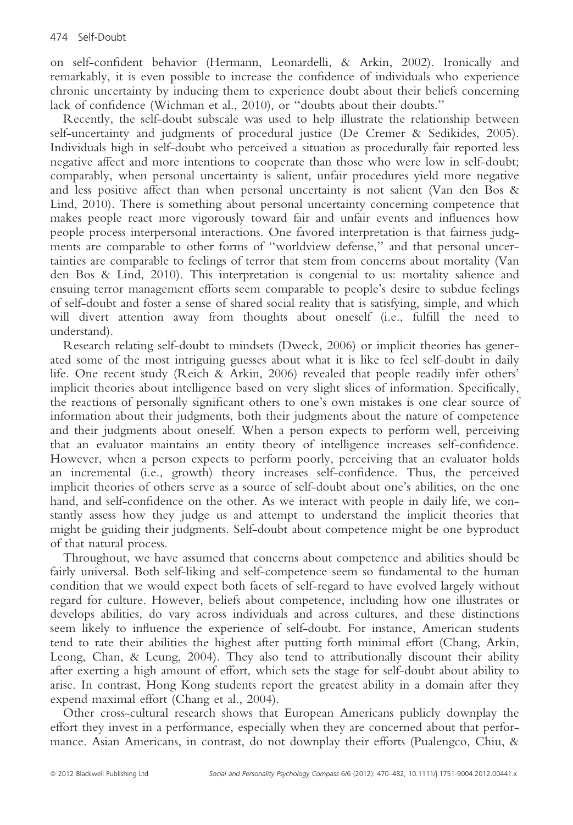on self-confident behavior (Hermann, Leonardelli, & Arkin, 2002). Ironically and remarkably, it is even possible to increase the confidence of individuals who experience chronic uncertainty by inducing them to experience doubt about their beliefs concerning lack of confidence (Wichman et al., 2010), or ''doubts about their doubts.''

Recently, the self-doubt subscale was used to help illustrate the relationship between self-uncertainty and judgments of procedural justice (De Cremer & Sedikides, 2005). Individuals high in self-doubt who perceived a situation as procedurally fair reported less negative affect and more intentions to cooperate than those who were low in self-doubt; comparably, when personal uncertainty is salient, unfair procedures yield more negative and less positive affect than when personal uncertainty is not salient (Van den Bos & Lind, 2010). There is something about personal uncertainty concerning competence that makes people react more vigorously toward fair and unfair events and influences how people process interpersonal interactions. One favored interpretation is that fairness judgments are comparable to other forms of ''worldview defense,'' and that personal uncertainties are comparable to feelings of terror that stem from concerns about mortality (Van den Bos & Lind, 2010). This interpretation is congenial to us: mortality salience and ensuing terror management efforts seem comparable to people's desire to subdue feelings of self-doubt and foster a sense of shared social reality that is satisfying, simple, and which will divert attention away from thoughts about oneself (i.e., fulfill the need to understand).

Research relating self-doubt to mindsets (Dweck, 2006) or implicit theories has generated some of the most intriguing guesses about what it is like to feel self-doubt in daily life. One recent study (Reich & Arkin, 2006) revealed that people readily infer others' implicit theories about intelligence based on very slight slices of information. Specifically, the reactions of personally significant others to one's own mistakes is one clear source of information about their judgments, both their judgments about the nature of competence and their judgments about oneself. When a person expects to perform well, perceiving that an evaluator maintains an entity theory of intelligence increases self-confidence. However, when a person expects to perform poorly, perceiving that an evaluator holds an incremental (i.e., growth) theory increases self-confidence. Thus, the perceived implicit theories of others serve as a source of self-doubt about one's abilities, on the one hand, and self-confidence on the other. As we interact with people in daily life, we constantly assess how they judge us and attempt to understand the implicit theories that might be guiding their judgments. Self-doubt about competence might be one byproduct of that natural process.

Throughout, we have assumed that concerns about competence and abilities should be fairly universal. Both self-liking and self-competence seem so fundamental to the human condition that we would expect both facets of self-regard to have evolved largely without regard for culture. However, beliefs about competence, including how one illustrates or develops abilities, do vary across individuals and across cultures, and these distinctions seem likely to influence the experience of self-doubt. For instance, American students tend to rate their abilities the highest after putting forth minimal effort (Chang, Arkin, Leong, Chan, & Leung, 2004). They also tend to attributionally discount their ability after exerting a high amount of effort, which sets the stage for self-doubt about ability to arise. In contrast, Hong Kong students report the greatest ability in a domain after they expend maximal effort (Chang et al., 2004).

Other cross-cultural research shows that European Americans publicly downplay the effort they invest in a performance, especially when they are concerned about that performance. Asian Americans, in contrast, do not downplay their efforts (Pualengco, Chiu, &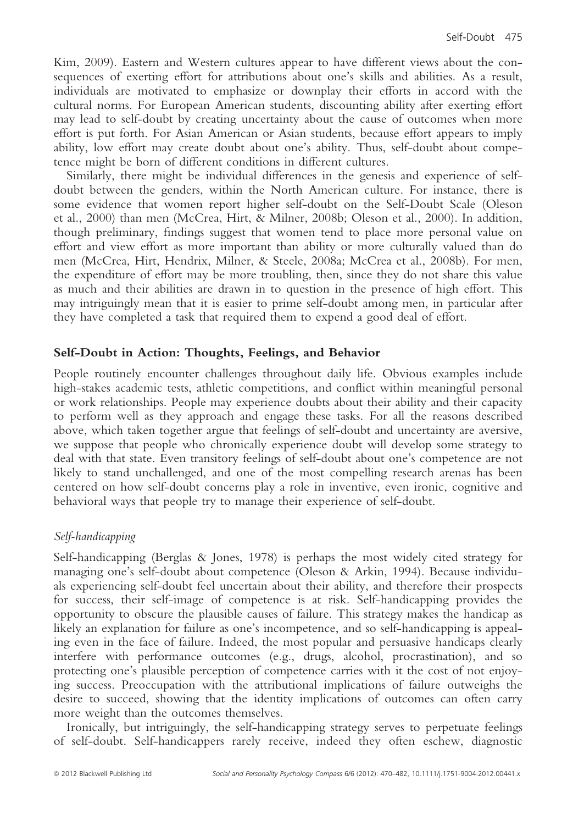Kim, 2009). Eastern and Western cultures appear to have different views about the consequences of exerting effort for attributions about one's skills and abilities. As a result, individuals are motivated to emphasize or downplay their efforts in accord with the cultural norms. For European American students, discounting ability after exerting effort may lead to self-doubt by creating uncertainty about the cause of outcomes when more effort is put forth. For Asian American or Asian students, because effort appears to imply ability, low effort may create doubt about one's ability. Thus, self-doubt about competence might be born of different conditions in different cultures.

Similarly, there might be individual differences in the genesis and experience of selfdoubt between the genders, within the North American culture. For instance, there is some evidence that women report higher self-doubt on the Self-Doubt Scale (Oleson et al., 2000) than men (McCrea, Hirt, & Milner, 2008b; Oleson et al., 2000). In addition, though preliminary, findings suggest that women tend to place more personal value on effort and view effort as more important than ability or more culturally valued than do men (McCrea, Hirt, Hendrix, Milner, & Steele, 2008a; McCrea et al., 2008b). For men, the expenditure of effort may be more troubling, then, since they do not share this value as much and their abilities are drawn in to question in the presence of high effort. This may intriguingly mean that it is easier to prime self-doubt among men, in particular after they have completed a task that required them to expend a good deal of effort.

### Self-Doubt in Action: Thoughts, Feelings, and Behavior

People routinely encounter challenges throughout daily life. Obvious examples include high-stakes academic tests, athletic competitions, and conflict within meaningful personal or work relationships. People may experience doubts about their ability and their capacity to perform well as they approach and engage these tasks. For all the reasons described above, which taken together argue that feelings of self-doubt and uncertainty are aversive, we suppose that people who chronically experience doubt will develop some strategy to deal with that state. Even transitory feelings of self-doubt about one's competence are not likely to stand unchallenged, and one of the most compelling research arenas has been centered on how self-doubt concerns play a role in inventive, even ironic, cognitive and behavioral ways that people try to manage their experience of self-doubt.

## Self-handicapping

Self-handicapping (Berglas & Jones, 1978) is perhaps the most widely cited strategy for managing one's self-doubt about competence (Oleson & Arkin, 1994). Because individuals experiencing self-doubt feel uncertain about their ability, and therefore their prospects for success, their self-image of competence is at risk. Self-handicapping provides the opportunity to obscure the plausible causes of failure. This strategy makes the handicap as likely an explanation for failure as one's incompetence, and so self-handicapping is appealing even in the face of failure. Indeed, the most popular and persuasive handicaps clearly interfere with performance outcomes (e.g., drugs, alcohol, procrastination), and so protecting one's plausible perception of competence carries with it the cost of not enjoying success. Preoccupation with the attributional implications of failure outweighs the desire to succeed, showing that the identity implications of outcomes can often carry more weight than the outcomes themselves.

Ironically, but intriguingly, the self-handicapping strategy serves to perpetuate feelings of self-doubt. Self-handicappers rarely receive, indeed they often eschew, diagnostic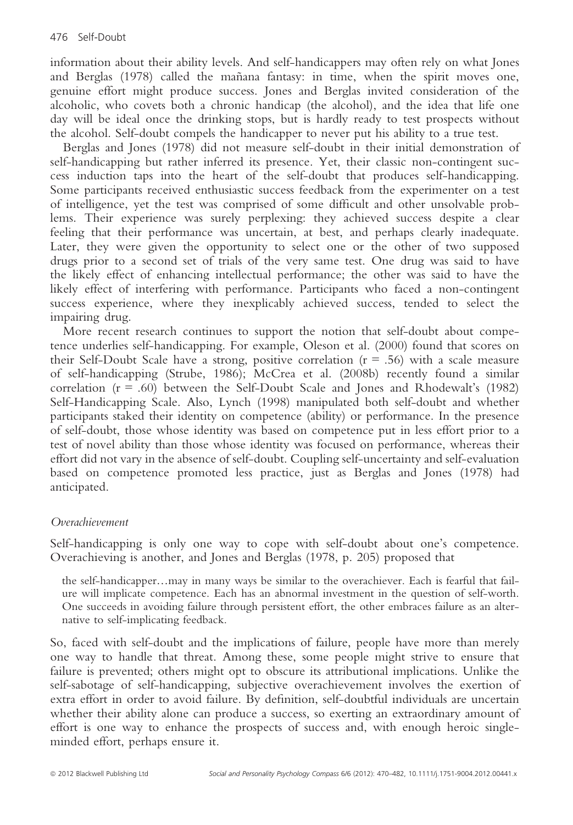information about their ability levels. And self-handicappers may often rely on what Jones and Berglas (1978) called the mañana fantasy: in time, when the spirit moves one, genuine effort might produce success. Jones and Berglas invited consideration of the alcoholic, who covets both a chronic handicap (the alcohol), and the idea that life one day will be ideal once the drinking stops, but is hardly ready to test prospects without the alcohol. Self-doubt compels the handicapper to never put his ability to a true test.

Berglas and Jones (1978) did not measure self-doubt in their initial demonstration of self-handicapping but rather inferred its presence. Yet, their classic non-contingent success induction taps into the heart of the self-doubt that produces self-handicapping. Some participants received enthusiastic success feedback from the experimenter on a test of intelligence, yet the test was comprised of some difficult and other unsolvable problems. Their experience was surely perplexing: they achieved success despite a clear feeling that their performance was uncertain, at best, and perhaps clearly inadequate. Later, they were given the opportunity to select one or the other of two supposed drugs prior to a second set of trials of the very same test. One drug was said to have the likely effect of enhancing intellectual performance; the other was said to have the likely effect of interfering with performance. Participants who faced a non-contingent success experience, where they inexplicably achieved success, tended to select the impairing drug.

More recent research continues to support the notion that self-doubt about competence underlies self-handicapping. For example, Oleson et al. (2000) found that scores on their Self-Doubt Scale have a strong, positive correlation  $(r = .56)$  with a scale measure of self-handicapping (Strube, 1986); McCrea et al. (2008b) recently found a similar correlation ( $r = .60$ ) between the Self-Doubt Scale and Jones and Rhodewalt's (1982) Self-Handicapping Scale. Also, Lynch (1998) manipulated both self-doubt and whether participants staked their identity on competence (ability) or performance. In the presence of self-doubt, those whose identity was based on competence put in less effort prior to a test of novel ability than those whose identity was focused on performance, whereas their effort did not vary in the absence of self-doubt. Coupling self-uncertainty and self-evaluation based on competence promoted less practice, just as Berglas and Jones (1978) had anticipated.

### Overachievement

Self-handicapping is only one way to cope with self-doubt about one's competence. Overachieving is another, and Jones and Berglas (1978, p. 205) proposed that

the self-handicapper…may in many ways be similar to the overachiever. Each is fearful that failure will implicate competence. Each has an abnormal investment in the question of self-worth. One succeeds in avoiding failure through persistent effort, the other embraces failure as an alternative to self-implicating feedback.

So, faced with self-doubt and the implications of failure, people have more than merely one way to handle that threat. Among these, some people might strive to ensure that failure is prevented; others might opt to obscure its attributional implications. Unlike the self-sabotage of self-handicapping, subjective overachievement involves the exertion of extra effort in order to avoid failure. By definition, self-doubtful individuals are uncertain whether their ability alone can produce a success, so exerting an extraordinary amount of effort is one way to enhance the prospects of success and, with enough heroic singleminded effort, perhaps ensure it.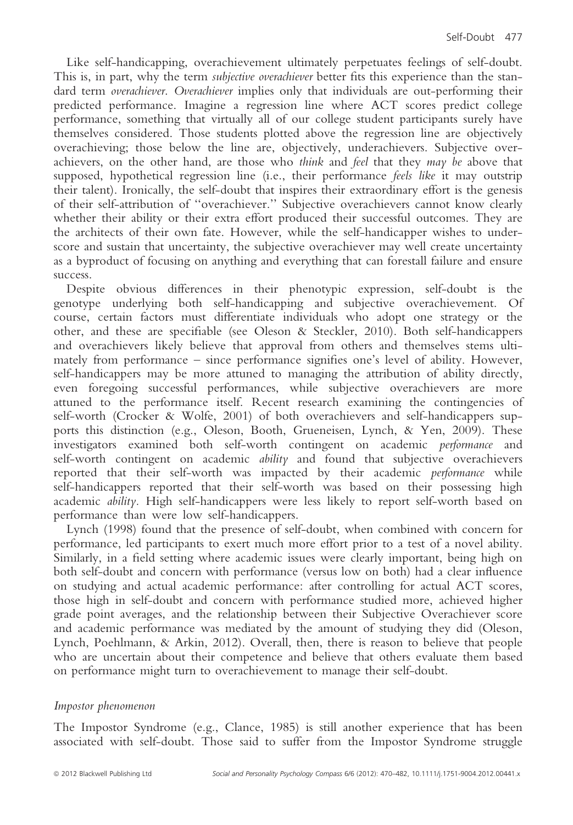Like self-handicapping, overachievement ultimately perpetuates feelings of self-doubt. This is, in part, why the term *subjective overachiever* better fits this experience than the standard term overachiever. Overachiever implies only that individuals are out-performing their predicted performance. Imagine a regression line where ACT scores predict college performance, something that virtually all of our college student participants surely have themselves considered. Those students plotted above the regression line are objectively overachieving; those below the line are, objectively, underachievers. Subjective overachievers, on the other hand, are those who *think* and *feel* that they *may be* above that supposed, hypothetical regression line (i.e., their performance feels like it may outstrip their talent). Ironically, the self-doubt that inspires their extraordinary effort is the genesis of their self-attribution of ''overachiever.'' Subjective overachievers cannot know clearly whether their ability or their extra effort produced their successful outcomes. They are the architects of their own fate. However, while the self-handicapper wishes to underscore and sustain that uncertainty, the subjective overachiever may well create uncertainty as a byproduct of focusing on anything and everything that can forestall failure and ensure success.

Despite obvious differences in their phenotypic expression, self-doubt is the genotype underlying both self-handicapping and subjective overachievement. Of course, certain factors must differentiate individuals who adopt one strategy or the other, and these are specifiable (see Oleson & Steckler, 2010). Both self-handicappers and overachievers likely believe that approval from others and themselves stems ultimately from performance – since performance signifies one's level of ability. However, self-handicappers may be more attuned to managing the attribution of ability directly, even foregoing successful performances, while subjective overachievers are more attuned to the performance itself. Recent research examining the contingencies of self-worth (Crocker & Wolfe, 2001) of both overachievers and self-handicappers supports this distinction (e.g., Oleson, Booth, Grueneisen, Lynch, & Yen, 2009). These investigators examined both self-worth contingent on academic performance and self-worth contingent on academic *ability* and found that subjective overachievers reported that their self-worth was impacted by their academic performance while self-handicappers reported that their self-worth was based on their possessing high academic ability. High self-handicappers were less likely to report self-worth based on performance than were low self-handicappers.

Lynch (1998) found that the presence of self-doubt, when combined with concern for performance, led participants to exert much more effort prior to a test of a novel ability. Similarly, in a field setting where academic issues were clearly important, being high on both self-doubt and concern with performance (versus low on both) had a clear influence on studying and actual academic performance: after controlling for actual ACT scores, those high in self-doubt and concern with performance studied more, achieved higher grade point averages, and the relationship between their Subjective Overachiever score and academic performance was mediated by the amount of studying they did (Oleson, Lynch, Poehlmann, & Arkin, 2012). Overall, then, there is reason to believe that people who are uncertain about their competence and believe that others evaluate them based on performance might turn to overachievement to manage their self-doubt.

#### Impostor phenomenon

The Impostor Syndrome (e.g., Clance, 1985) is still another experience that has been associated with self-doubt. Those said to suffer from the Impostor Syndrome struggle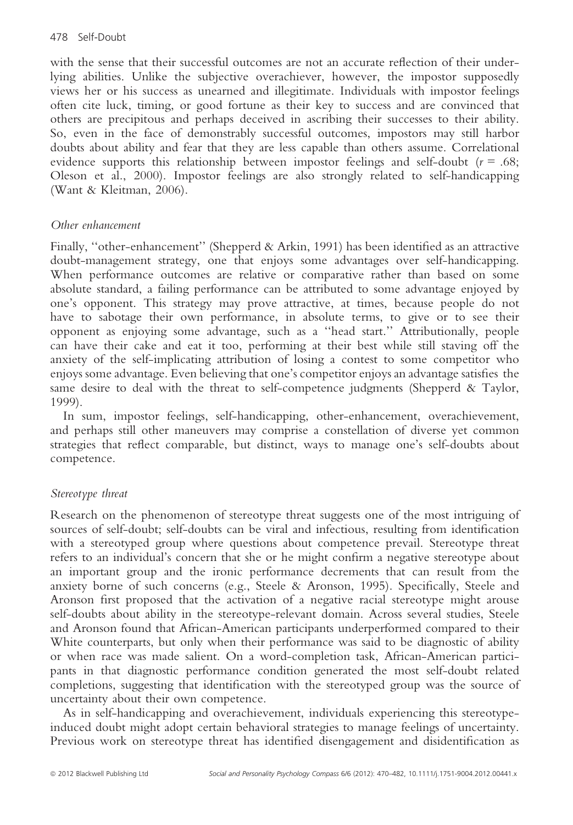with the sense that their successful outcomes are not an accurate reflection of their underlying abilities. Unlike the subjective overachiever, however, the impostor supposedly views her or his success as unearned and illegitimate. Individuals with impostor feelings often cite luck, timing, or good fortune as their key to success and are convinced that others are precipitous and perhaps deceived in ascribing their successes to their ability. So, even in the face of demonstrably successful outcomes, impostors may still harbor doubts about ability and fear that they are less capable than others assume. Correlational evidence supports this relationship between impostor feelings and self-doubt  $(r = .68;$ Oleson et al., 2000). Impostor feelings are also strongly related to self-handicapping (Want & Kleitman, 2006).

### Other enhancement

Finally, ''other-enhancement'' (Shepperd & Arkin, 1991) has been identified as an attractive doubt-management strategy, one that enjoys some advantages over self-handicapping. When performance outcomes are relative or comparative rather than based on some absolute standard, a failing performance can be attributed to some advantage enjoyed by one's opponent. This strategy may prove attractive, at times, because people do not have to sabotage their own performance, in absolute terms, to give or to see their opponent as enjoying some advantage, such as a ''head start.'' Attributionally, people can have their cake and eat it too, performing at their best while still staving off the anxiety of the self-implicating attribution of losing a contest to some competitor who enjoys some advantage. Even believing that one's competitor enjoys an advantage satisfies the same desire to deal with the threat to self-competence judgments (Shepperd & Taylor, 1999).

In sum, impostor feelings, self-handicapping, other-enhancement, overachievement, and perhaps still other maneuvers may comprise a constellation of diverse yet common strategies that reflect comparable, but distinct, ways to manage one's self-doubts about competence.

## Stereotype threat

Research on the phenomenon of stereotype threat suggests one of the most intriguing of sources of self-doubt; self-doubts can be viral and infectious, resulting from identification with a stereotyped group where questions about competence prevail. Stereotype threat refers to an individual's concern that she or he might confirm a negative stereotype about an important group and the ironic performance decrements that can result from the anxiety borne of such concerns (e.g., Steele & Aronson, 1995). Specifically, Steele and Aronson first proposed that the activation of a negative racial stereotype might arouse self-doubts about ability in the stereotype-relevant domain. Across several studies, Steele and Aronson found that African-American participants underperformed compared to their White counterparts, but only when their performance was said to be diagnostic of ability or when race was made salient. On a word-completion task, African-American participants in that diagnostic performance condition generated the most self-doubt related completions, suggesting that identification with the stereotyped group was the source of uncertainty about their own competence.

As in self-handicapping and overachievement, individuals experiencing this stereotypeinduced doubt might adopt certain behavioral strategies to manage feelings of uncertainty. Previous work on stereotype threat has identified disengagement and disidentification as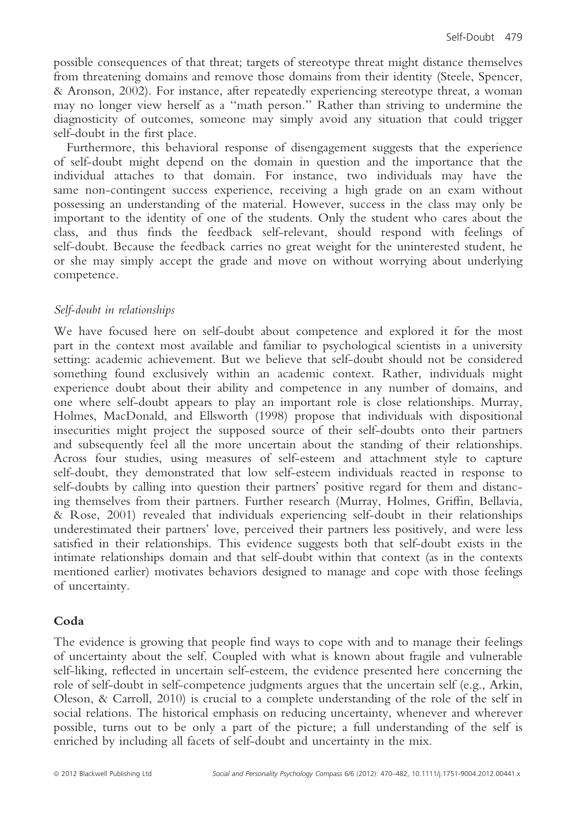possible consequences of that threat; targets of stereotype threat might distance themselves from threatening domains and remove those domains from their identity (Steele, Spencer, & Aronson, 2002). For instance, after repeatedly experiencing stereotype threat, a woman may no longer view herself as a ''math person.'' Rather than striving to undermine the diagnosticity of outcomes, someone may simply avoid any situation that could trigger self-doubt in the first place.

Furthermore, this behavioral response of disengagement suggests that the experience of self-doubt might depend on the domain in question and the importance that the individual attaches to that domain. For instance, two individuals may have the same non-contingent success experience, receiving a high grade on an exam without possessing an understanding of the material. However, success in the class may only be important to the identity of one of the students. Only the student who cares about the class, and thus finds the feedback self-relevant, should respond with feelings of self-doubt. Because the feedback carries no great weight for the uninterested student, he or she may simply accept the grade and move on without worrying about underlying competence.

### Self-doubt in relationships

We have focused here on self-doubt about competence and explored it for the most part in the context most available and familiar to psychological scientists in a university setting: academic achievement. But we believe that self-doubt should not be considered something found exclusively within an academic context. Rather, individuals might experience doubt about their ability and competence in any number of domains, and one where self-doubt appears to play an important role is close relationships. Murray, Holmes, MacDonald, and Ellsworth (1998) propose that individuals with dispositional insecurities might project the supposed source of their self-doubts onto their partners and subsequently feel all the more uncertain about the standing of their relationships. Across four studies, using measures of self-esteem and attachment style to capture self-doubt, they demonstrated that low self-esteem individuals reacted in response to self-doubts by calling into question their partners' positive regard for them and distancing themselves from their partners. Further research (Murray, Holmes, Griffin, Bellavia, & Rose, 2001) revealed that individuals experiencing self-doubt in their relationships underestimated their partners' love, perceived their partners less positively, and were less satisfied in their relationships. This evidence suggests both that self-doubt exists in the intimate relationships domain and that self-doubt within that context (as in the contexts mentioned earlier) motivates behaviors designed to manage and cope with those feelings of uncertainty.

### Coda

The evidence is growing that people find ways to cope with and to manage their feelings of uncertainty about the self. Coupled with what is known about fragile and vulnerable self-liking, reflected in uncertain self-esteem, the evidence presented here concerning the role of self-doubt in self-competence judgments argues that the uncertain self (e.g., Arkin, Oleson, & Carroll, 2010) is crucial to a complete understanding of the role of the self in social relations. The historical emphasis on reducing uncertainty, whenever and wherever possible, turns out to be only a part of the picture; a full understanding of the self is enriched by including all facets of self-doubt and uncertainty in the mix.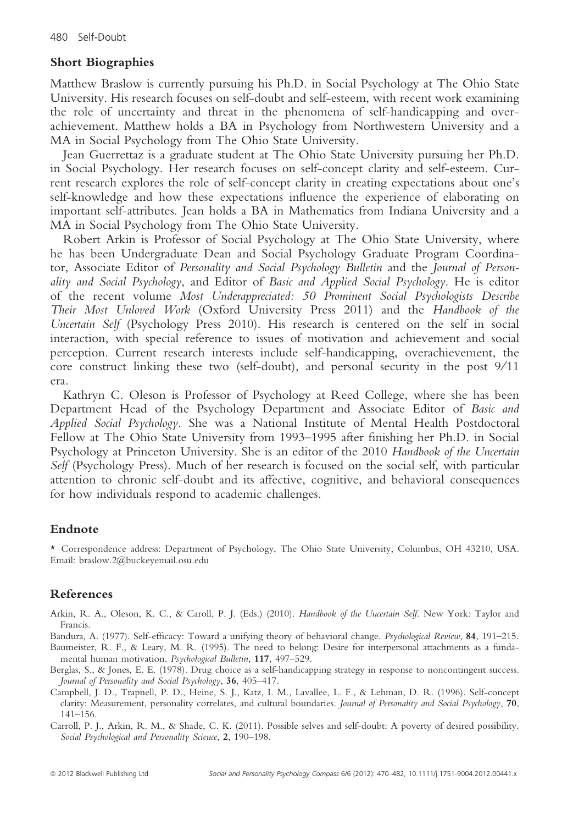#### Short Biographies

Matthew Braslow is currently pursuing his Ph.D. in Social Psychology at The Ohio State University. His research focuses on self-doubt and self-esteem, with recent work examining the role of uncertainty and threat in the phenomena of self-handicapping and overachievement. Matthew holds a BA in Psychology from Northwestern University and a MA in Social Psychology from The Ohio State University.

Jean Guerrettaz is a graduate student at The Ohio State University pursuing her Ph.D. in Social Psychology. Her research focuses on self-concept clarity and self-esteem. Current research explores the role of self-concept clarity in creating expectations about one's self-knowledge and how these expectations influence the experience of elaborating on important self-attributes. Jean holds a BA in Mathematics from Indiana University and a MA in Social Psychology from The Ohio State University.

Robert Arkin is Professor of Social Psychology at The Ohio State University, where he has been Undergraduate Dean and Social Psychology Graduate Program Coordinator, Associate Editor of Personality and Social Psychology Bulletin and the Journal of Personality and Social Psychology, and Editor of Basic and Applied Social Psychology. He is editor of the recent volume Most Underappreciated: 50 Prominent Social Psychologists Describe Their Most Unloved Work (Oxford University Press 2011) and the Handbook of the Uncertain Self (Psychology Press 2010). His research is centered on the self in social interaction, with special reference to issues of motivation and achievement and social perception. Current research interests include self-handicapping, overachievement, the core construct linking these two (self-doubt), and personal security in the post  $9/11$ era.

Kathryn C. Oleson is Professor of Psychology at Reed College, where she has been Department Head of the Psychology Department and Associate Editor of Basic and Applied Social Psychology. She was a National Institute of Mental Health Postdoctoral Fellow at The Ohio State University from 1993–1995 after finishing her Ph.D. in Social Psychology at Princeton University. She is an editor of the 2010 Handbook of the Uncertain Self (Psychology Press). Much of her research is focused on the social self, with particular attention to chronic self-doubt and its affective, cognitive, and behavioral consequences for how individuals respond to academic challenges.

#### Endnote

\* Correspondence address: Department of Psychology, The Ohio State University, Columbus, OH 43210, USA. Email: braslow.2@buckeyemail.osu.edu

#### References

Arkin, R. A., Oleson, K. C., & Caroll, P. J. (Eds.) (2010). Handbook of the Uncertain Self. New York: Taylor and Francis.

Bandura, A. (1977). Self-efficacy: Toward a unifying theory of behavioral change. Psychological Review, 84, 191–215.

- Baumeister, R. F., & Leary, M. R. (1995). The need to belong: Desire for interpersonal attachments as a fundamental human motivation. Psychological Bulletin, 117, 497–529.
- Berglas, S., & Jones, E. E. (1978). Drug choice as a self-handicapping strategy in response to noncontingent success. Journal of Personality and Social Psychology, 36, 405–417.
- Campbell, J. D., Trapnell, P. D., Heine, S. J., Katz, I. M., Lavallee, L. F., & Lehman, D. R. (1996). Self-concept clarity: Measurement, personality correlates, and cultural boundaries. Journal of Personality and Social Psychology, 70, 141–156.

Carroll, P. J., Arkin, R. M., & Shade, C. K. (2011). Possible selves and self-doubt: A poverty of desired possibility. Social Psychological and Personality Science, 2, 190-198.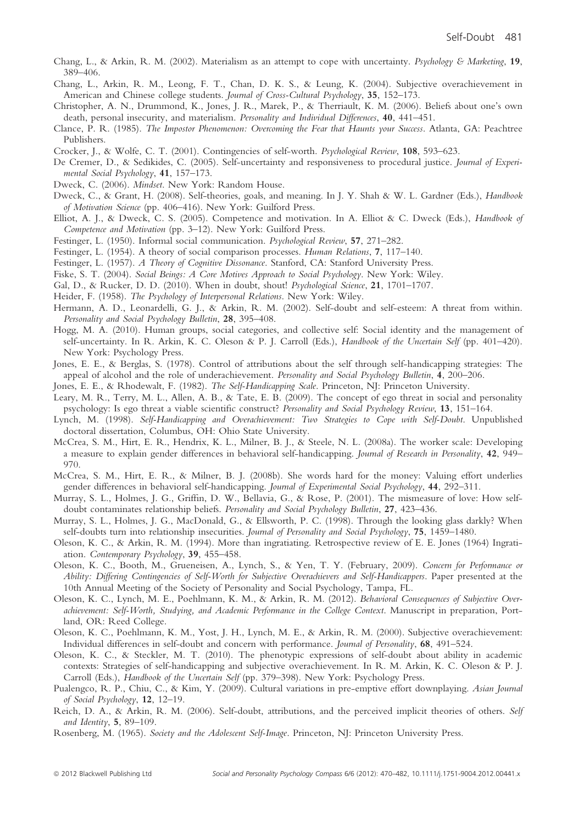- Chang, L., & Arkin, R. M. (2002). Materialism as an attempt to cope with uncertainty. Psychology & Marketing, 19, 389–406.
- Chang, L., Arkin, R. M., Leong, F. T., Chan, D. K. S., & Leung, K. (2004). Subjective overachievement in American and Chinese college students. Journal of Cross-Cultural Psychology, 35, 152-173.
- Christopher, A. N., Drummond, K., Jones, J. R., Marek, P., & Therriault, K. M. (2006). Beliefs about one's own death, personal insecurity, and materialism. Personality and Individual Differences, 40, 441–451.
- Clance, P. R. (1985). The Impostor Phenomenon: Overcoming the Fear that Haunts your Success. Atlanta, GA: Peachtree Publishers.
- Crocker, J., & Wolfe, C. T. (2001). Contingencies of self-worth. Psychological Review, 108, 593–623.
- De Cremer, D., & Sedikides, C. (2005). Self-uncertainty and responsiveness to procedural justice. Journal of Experimental Social Psychology, 41, 157–173.
- Dweck, C. (2006). Mindset. New York: Random House.
- Dweck, C., & Grant, H. (2008). Self-theories, goals, and meaning. In J. Y. Shah & W. L. Gardner (Eds.), Handbook of Motivation Science (pp. 406–416). New York: Guilford Press.
- Elliot, A. J., & Dweck, C. S. (2005). Competence and motivation. In A. Elliot & C. Dweck (Eds.), Handbook of Competence and Motivation (pp. 3–12). New York: Guilford Press.
- Festinger, L. (1950). Informal social communication. Psychological Review, 57, 271–282.
- Festinger, L. (1954). A theory of social comparison processes. Human Relations, 7, 117–140.
- Festinger, L. (1957). A Theory of Cognitive Dissonance. Stanford, CA: Stanford University Press.
- Fiske, S. T. (2004). Social Beings: A Core Motives Approach to Social Psychology. New York: Wiley.
- Gal, D., & Rucker, D. D. (2010). When in doubt, shout! Psychological Science, 21, 1701-1707.
- Heider, F. (1958). The Psychology of Interpersonal Relations. New York: Wiley.
- Hermann, A. D., Leonardelli, G. J., & Arkin, R. M. (2002). Self-doubt and self-esteem: A threat from within. Personality and Social Psychology Bulletin, 28, 395–408.
- Hogg, M. A. (2010). Human groups, social categories, and collective self: Social identity and the management of self-uncertainty. In R. Arkin, K. C. Oleson & P. J. Carroll (Eds.), Handbook of the Uncertain Self (pp. 401–420). New York: Psychology Press.
- Jones, E. E., & Berglas, S. (1978). Control of attributions about the self through self-handicapping strategies: The appeal of alcohol and the role of underachievement. Personality and Social Psychology Bulletin, 4, 200–206.
- Jones, E. E., & Rhodewalt, F. (1982). The Self-Handicapping Scale. Princeton, NJ: Princeton University.
- Leary, M. R., Terry, M. L., Allen, A. B., & Tate, E. B. (2009). The concept of ego threat in social and personality psychology: Is ego threat a viable scientific construct? Personality and Social Psychology Review, 13, 151–164.
- Lynch, M. (1998). Self-Handicapping and Overachievement: Two Strategies to Cope with Self-Doubt. Unpublished doctoral dissertation, Columbus, OH: Ohio State University.
- McCrea, S. M., Hirt, E. R., Hendrix, K. L., Milner, B. J., & Steele, N. L. (2008a). The worker scale: Developing a measure to explain gender differences in behavioral self-handicapping. Journal of Research in Personality, 42, 949– 970.
- McCrea, S. M., Hirt, E. R., & Milner, B. J. (2008b). She words hard for the money: Valuing effort underlies gender differences in behavioral self-handicapping. Journal of Experimental Social Psychology, 44, 292–311.
- Murray, S. L., Holmes, J. G., Griffin, D. W., Bellavia, G., & Rose, P. (2001). The mismeasure of love: How selfdoubt contaminates relationship beliefs. Personality and Social Psychology Bulletin, 27, 423–436.
- Murray, S. L., Holmes, J. G., MacDonald, G., & Ellsworth, P. C. (1998). Through the looking glass darkly? When self-doubts turn into relationship insecurities. Journal of Personality and Social Psychology, 75, 1459–1480.
- Oleson, K. C., & Arkin, R. M. (1994). More than ingratiating. Retrospective review of E. E. Jones (1964) Ingratiation. Contemporary Psychology, 39, 455–458.
- Oleson, K. C., Booth, M., Grueneisen, A., Lynch, S., & Yen, T. Y. (February, 2009). Concern for Performance or Ability: Differing Contingencies of Self-Worth for Subjective Overachievers and Self-Handicappers. Paper presented at the 10th Annual Meeting of the Society of Personality and Social Psychology, Tampa, FL.
- Oleson, K. C., Lynch, M. E., Poehlmann, K. M., & Arkin, R. M. (2012). Behavioral Consequences of Subjective Overachievement: Self-Worth, Studying, and Academic Performance in the College Context. Manuscript in preparation, Portland, OR: Reed College.
- Oleson, K. C., Poehlmann, K. M., Yost, J. H., Lynch, M. E., & Arkin, R. M. (2000). Subjective overachievement: Individual differences in self-doubt and concern with performance. Journal of Personality, 68, 491–524.
- Oleson, K. C., & Steckler, M. T. (2010). The phenotypic expressions of self-doubt about ability in academic contexts: Strategies of self-handicapping and subjective overachievement. In R. M. Arkin, K. C. Oleson & P. J. Carroll (Eds.), Handbook of the Uncertain Self (pp. 379–398). New York: Psychology Press.
- Pualengco, R. P., Chiu, C., & Kim, Y. (2009). Cultural variations in pre-emptive effort downplaying. Asian Journal of Social Psychology, 12, 12–19.
- Reich, D. A., & Arkin, R. M. (2006). Self-doubt, attributions, and the perceived implicit theories of others. Self and Identity,  $5, 89-109$ .
- Rosenberg, M. (1965). Society and the Adolescent Self-Image. Princeton, NJ: Princeton University Press.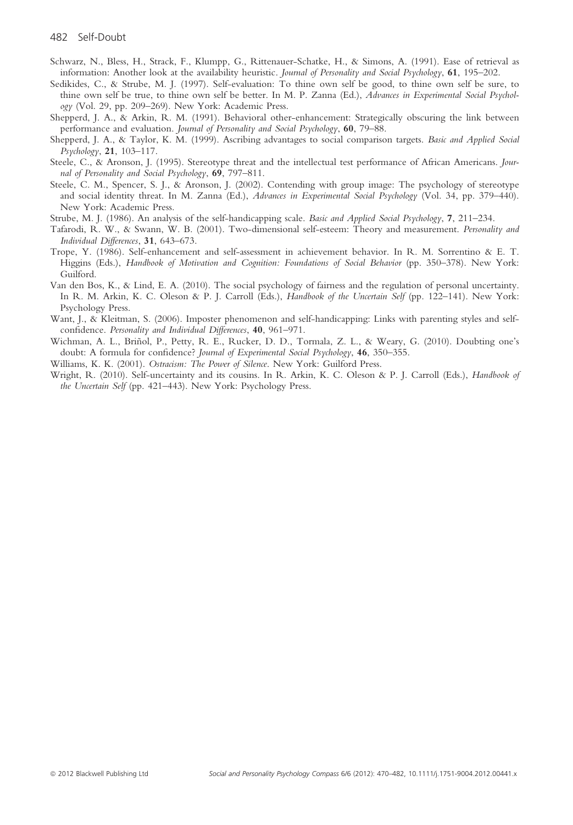- Schwarz, N., Bless, H., Strack, F., Klumpp, G., Rittenauer-Schatke, H., & Simons, A. (1991). Ease of retrieval as information: Another look at the availability heuristic. Journal of Personality and Social Psychology, 61, 195–202.
- Sedikides, C., & Strube, M. J. (1997). Self-evaluation: To thine own self be good, to thine own self be sure, to thine own self be true, to thine own self be better. In M. P. Zanna (Ed.), Advances in Experimental Social Psychology (Vol. 29, pp. 209–269). New York: Academic Press.
- Shepperd, J. A., & Arkin, R. M. (1991). Behavioral other-enhancement: Strategically obscuring the link between performance and evaluation. Journal of Personality and Social Psychology, 60, 79–88.
- Shepperd, J. A., & Taylor, K. M. (1999). Ascribing advantages to social comparison targets. Basic and Applied Social Psychology, 21, 103–117.
- Steele, C., & Aronson, J. (1995). Stereotype threat and the intellectual test performance of African Americans. Journal of Personality and Social Psychology, 69, 797–811.
- Steele, C. M., Spencer, S. J., & Aronson, J. (2002). Contending with group image: The psychology of stereotype and social identity threat. In M. Zanna (Ed.), Advances in Experimental Social Psychology (Vol. 34, pp. 379-440). New York: Academic Press.
- Strube, M. J. (1986). An analysis of the self-handicapping scale. Basic and Applied Social Psychology, 7, 211–234.
- Tafarodi, R. W., & Swann, W. B. (2001). Two-dimensional self-esteem: Theory and measurement. Personality and Individual Differences, 31, 643–673.
- Trope, Y. (1986). Self-enhancement and self-assessment in achievement behavior. In R. M. Sorrentino & E. T. Higgins (Eds.), Handbook of Motivation and Cognition: Foundations of Social Behavior (pp. 350–378). New York: Guilford.
- Van den Bos, K., & Lind, E. A. (2010). The social psychology of fairness and the regulation of personal uncertainty. In R. M. Arkin, K. C. Oleson & P. J. Carroll (Eds.), Handbook of the Uncertain Self (pp. 122–141). New York: Psychology Press.
- Want, J., & Kleitman, S. (2006). Imposter phenomenon and self-handicapping: Links with parenting styles and selfconfidence. Personality and Individual Differences, 40, 961–971.
- Wichman, A. L., Briñol, P., Petty, R. E., Rucker, D. D., Tormala, Z. L., & Weary, G. (2010). Doubting one's doubt: A formula for confidence? Journal of Experimental Social Psychology, 46, 350–355.
- Williams, K. K. (2001). Ostracism: The Power of Silence. New York: Guilford Press.
- Wright, R. (2010). Self-uncertainty and its cousins. In R. Arkin, K. C. Oleson & P. J. Carroll (Eds.), Handbook of the Uncertain Self (pp. 421–443). New York: Psychology Press.